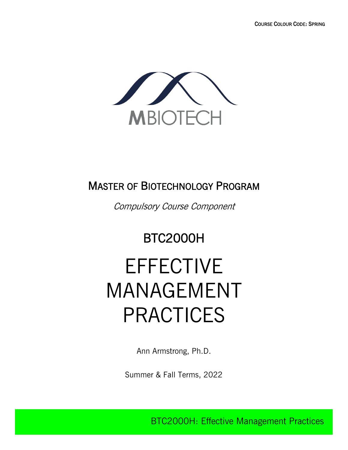

## MASTER OF BIOTECHNOLOGY PROGRAM

Compulsory Course Component

# BTC2000H

# EFFECTIVE MANAGEMENT PRACTICES

Ann Armstrong, Ph.D.

Summer & Fall Terms, 2022

BTC2000H: Effective Management Practices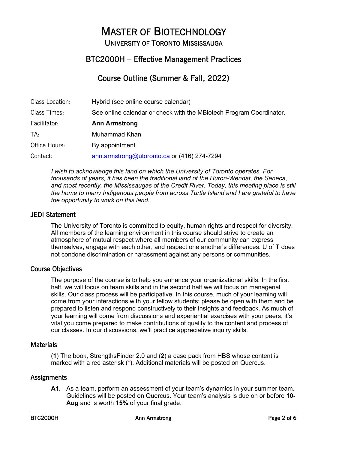# MASTER OF BIOTECHNOLOGY UNIVERSITY OF TORONTO MISSISSAUGA

### BTC2000H – Effective Management Practices

### Course Outline (Summer & Fall, 2022)

| Class Location: | Hybrid (see online course calendar)                                 |
|-----------------|---------------------------------------------------------------------|
| Class Times:    | See online calendar or check with the MBiotech Program Coordinator. |
| Facilitator:    | <b>Ann Armstrong</b>                                                |
| TA:             | Muhammad Khan                                                       |
| Office Hours:   | By appointment                                                      |
| Contact:        | ann.armstrong@utoronto.ca or (416) 274-7294                         |

*I wish to acknowledge this land on which the University of Toronto operates. For thousands of years, it has been the traditional land of the Huron-Wendat, the Seneca,*  and most recently, the Mississaugas of the Credit River. Today, this meeting place is still *the home to many Indigenous people from across Turtle Island and I are grateful to have the opportunity to work on this land.*

#### JEDI Statement

The University of Toronto is committed to equity, human rights and respect for diversity. All members of the learning environment in this course should strive to create an atmosphere of mutual respect where all members of our community can express themselves, engage with each other, and respect one another's differences. U of T does not condone discrimination or harassment against any persons or communities.

#### Course Objectives

The purpose of the course is to help you enhance your organizational skills. In the first half, we will focus on team skills and in the second half we will focus on managerial skills. Our class process will be participative. In this course, much of your learning will come from your interactions with your fellow students: please be open with them and be prepared to listen and respond constructively to their insights and feedback. As much of your learning will come from discussions and experiential exercises with your peers, it's vital you come prepared to make contributions of quality to the content and process of our classes. In our discussions, we'll practice appreciative inquiry skills.

#### **Materials**

(**1**) The book, StrengthsFinder 2.0 and (**2**) a case pack from HBS whose content is marked with a red asterisk (\*). Additional materials will be posted on Quercus.

#### **Assignments**

**A1.** As a team, perform an assessment of your team's dynamics in your summer team. Guidelines will be posted on Quercus. Your team's analysis is due on or before **10- Aug** and is worth **15%** of your final grade.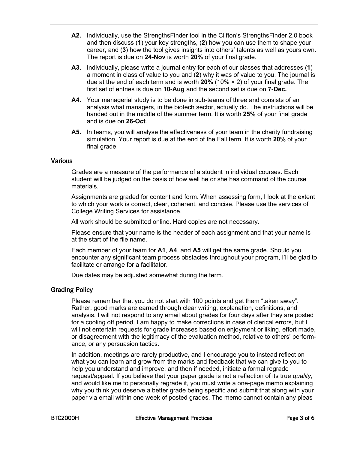- **A2.** Individually, use the StrengthsFinder tool in the Clifton's StrengthsFinder 2.0 book and then discuss (**1**) your key strengths, (**2**) how you can use them to shape your career, and (**3**) how the tool gives insights into others' talents as well as yours own. The report is due on **24-Nov** is worth **20%** of your final grade.
- **A3.** Individually, please write a journal entry for each of our classes that addresses (**1**) a moment in class of value to you and (**2**) why it was of value to you. The journal is due at the end of each term and is worth **20%** (10% × 2) of your final grade. The first set of entries is due on **10**-**Aug** and the second set is due on **7**-**Dec.**
- **A4.** Your managerial study is to be done in sub-teams of three and consists of an analysis what managers, in the biotech sector, actually do. The instructions will be handed out in the middle of the summer term. It is worth **25%** of your final grade and is due on **26-Oct**.
- **A5.** In teams, you will analyse the effectiveness of your team in the charity fundraising simulation. Your report is due at the end of the Fall term. It is worth **20%** of your final grade.

#### **Various**

Grades are a measure of the performance of a student in individual courses. Each student will be judged on the basis of how well he or she has command of the course materials.

Assignments are graded for content and form. When assessing form, I look at the extent to which your work is correct, clear, coherent, and concise. Please use the services of College Writing Services for assistance.

All work should be submitted online. Hard copies are not necessary.

Please ensure that your name is the header of each assignment and that your name is at the start of the file name.

Each member of your team for **A1**, **A4**, and **A5** will get the same grade. Should you encounter any significant team process obstacles throughout your program, I'll be glad to facilitate or arrange for a facilitator.

Due dates may be adjusted somewhat during the term.

#### Grading Policy

Please remember that you do not start with 100 points and get them "taken away". Rather, good marks are earned through clear writing, explanation, definitions, and analysis. I will not respond to any email about grades for four days after they are posted for a cooling off period. I am happy to make corrections in case of clerical errors, but I will not entertain requests for grade increases based on enjoyment or liking, effort made, or disagreement with the legitimacy of the evaluation method, relative to others' performance, or any persuasion tactics.

In addition, meetings are rarely productive, and I encourage you to instead reflect on what you can learn and grow from the marks and feedback that we can give to you to help you understand and improve, and then if needed, initiate a formal regrade request/appeal. If you believe that your paper grade is not a reflection of its true *quality*, and would like me to personally regrade it, you must write a one-page memo explaining why you think you deserve a better grade being specific and submit that along with your paper via email within one week of posted grades. The memo cannot contain any pleas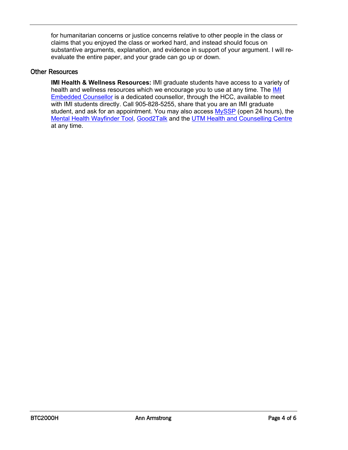for humanitarian concerns or justice concerns relative to other people in the class or claims that you enjoyed the class or worked hard, and instead should focus on substantive arguments, explanation, and evidence in support of your argument. I will reevaluate the entire paper, and your grade can go up or down.

#### Other Resources

**IMI Health & Wellness Resources:** IMI graduate students have access to a variety of health and wellness resources which we encourage you to use at any time. The **IMI** Embedded Counsellor is a dedicated counsellor, through the HCC, available to meet with IMI students directly. Call 905-828-5255, share that you are an IMI graduate student, and ask for an appointment. You may also access MySSP (open 24 hours), the Mental Health Wayfinder Tool, Good2Talk and the UTM Health and Counselling Centre at any time.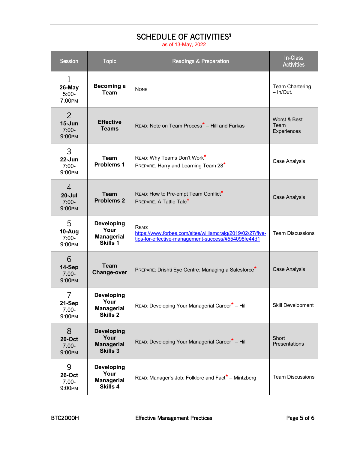## SCHEDULE OF ACTIVITIES<sup>§</sup>

as of 13-May, 2022

| <b>Session</b>                                    | <b>Topic</b>                                                      | <b>Readings &amp; Preparation</b>                                                                                          | <b>In-Class</b><br><b>Activities</b>  |
|---------------------------------------------------|-------------------------------------------------------------------|----------------------------------------------------------------------------------------------------------------------------|---------------------------------------|
| 1<br>26-May<br>$5:00-$<br>7:00PM                  | <b>Becoming a</b><br><b>Team</b>                                  | <b>NONE</b>                                                                                                                | <b>Team Chartering</b><br>$-$ In/Out. |
| $\overline{2}$<br>$15 - Jun$<br>$7:00-$<br>9:00PM | <b>Effective</b><br><b>Teams</b>                                  | READ: Note on Team Process <sup>*</sup> - Hill and Farkas                                                                  | Worst & Best<br>Team<br>Experiences   |
| 3<br>22-Jun<br>$7:00-$<br>9:00PM                  | <b>Team</b><br><b>Problems 1</b>                                  | READ: Why Teams Don't Work*<br>PREPARE: Harry and Learning Team 28*                                                        | Case Analysis                         |
| $\overline{4}$<br>$20 -$ Jul<br>$7:00-$<br>9:00PM | <b>Team</b><br><b>Problems 2</b>                                  | READ: How to Pre-empt Team Conflict*<br>PREPARE: A Tattle Tale*                                                            | <b>Case Analysis</b>                  |
| 5<br>10-Aug<br>$7:00-$<br>9:00PM                  | <b>Developing</b><br>Your<br><b>Managerial</b><br>Skills 1        | READ:<br>https://www.forbes.com/sites/williamcraig/2019/02/27/five-<br>tips-for-effective-management-success/#554098fe44d1 | <b>Team Discussions</b>               |
| 6<br>14-Sep<br>$7:00-$<br>9:00PM                  | <b>Team</b><br><b>Change-over</b>                                 | PREPARE: Drishti Eye Centre: Managing a Salesforce*                                                                        | <b>Case Analysis</b>                  |
| 7<br>21-Sep<br>$7:00-$<br>9:00PM                  | <b>Developing</b><br>Your<br><b>Managerial</b><br><b>Skills 2</b> | READ: Developing Your Managerial Career <sup>*</sup> - Hill                                                                | Skill Development                     |
| 8<br><b>20-Oct</b><br>$7:00-$<br>9:00PM           | <b>Developing</b><br>Your<br><b>Managerial</b><br><b>Skills 3</b> | READ: Developing Your Managerial Career* - Hill                                                                            | Short<br>Presentations                |
| 9<br><b>26-Oct</b><br>$7:00-$<br>9:00PM           | <b>Developing</b><br>Your<br><b>Managerial</b><br>Skills 4        | READ: Manager's Job: Folklore and Fact* - Mintzberg                                                                        | <b>Team Discussions</b>               |